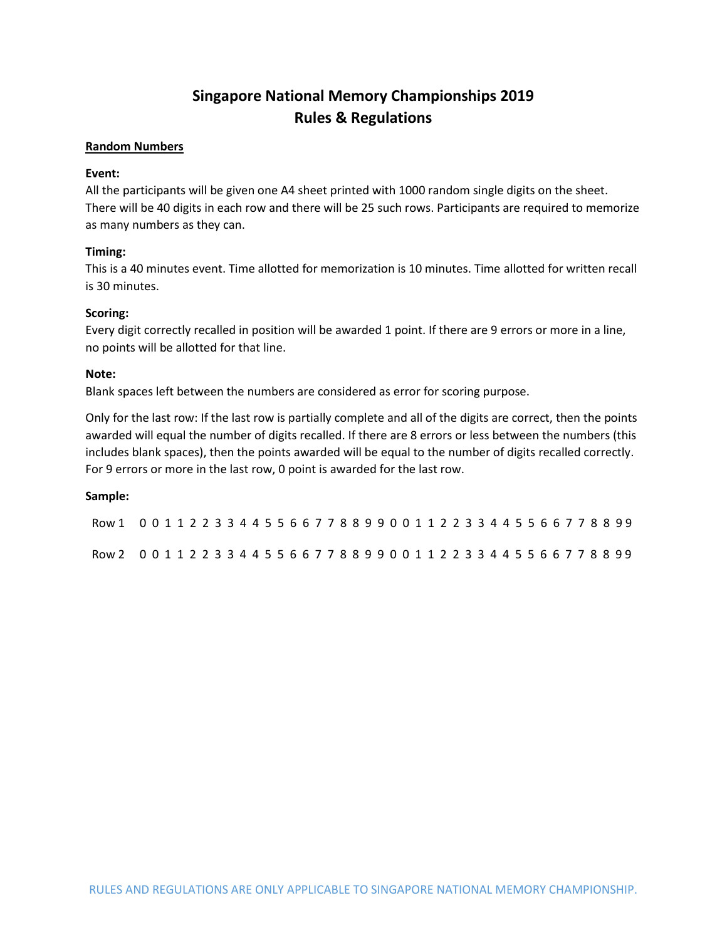# **Singapore National Memory Championships 2019 Rules & Regulations**

## **Random Numbers**

# **Event:**

All the participants will be given one A4 sheet printed with 1000 random single digits on the sheet. There will be 40 digits in each row and there will be 25 such rows. Participants are required to memorize as many numbers as they can.

## **Timing:**

This is a 40 minutes event. Time allotted for memorization is 10 minutes. Time allotted for written recall is 30 minutes.

## **Scoring:**

Every digit correctly recalled in position will be awarded 1 point. If there are 9 errors or more in a line, no points will be allotted for that line.

## **Note:**

Blank spaces left between the numbers are considered as error for scoring purpose.

Only for the last row: If the last row is partially complete and all of the digits are correct, then the points awarded will equal the number of digits recalled. If there are 8 errors or less between the numbers (this includes blank spaces), then the points awarded will be equal to the number of digits recalled correctly. For 9 errors or more in the last row, 0 point is awarded for the last row.

## **Sample:**

| Row 1 0 0 1 1 2 2 3 3 4 4 5 5 6 6 7 7 8 8 9 9 0 0 1 1 2 2 3 3 4 4 5 5 6 6 7 7 8 8 99 |  |  |  |  |  |  |  |  |  |  |  |  |  |  |  |  |  |  |  |
|--------------------------------------------------------------------------------------|--|--|--|--|--|--|--|--|--|--|--|--|--|--|--|--|--|--|--|
| Row 2 0 0 1 1 2 2 3 3 4 4 5 5 6 6 7 7 8 8 9 9 0 0 1 1 2 2 3 3 4 4 5 5 6 6 7 7 8 8 99 |  |  |  |  |  |  |  |  |  |  |  |  |  |  |  |  |  |  |  |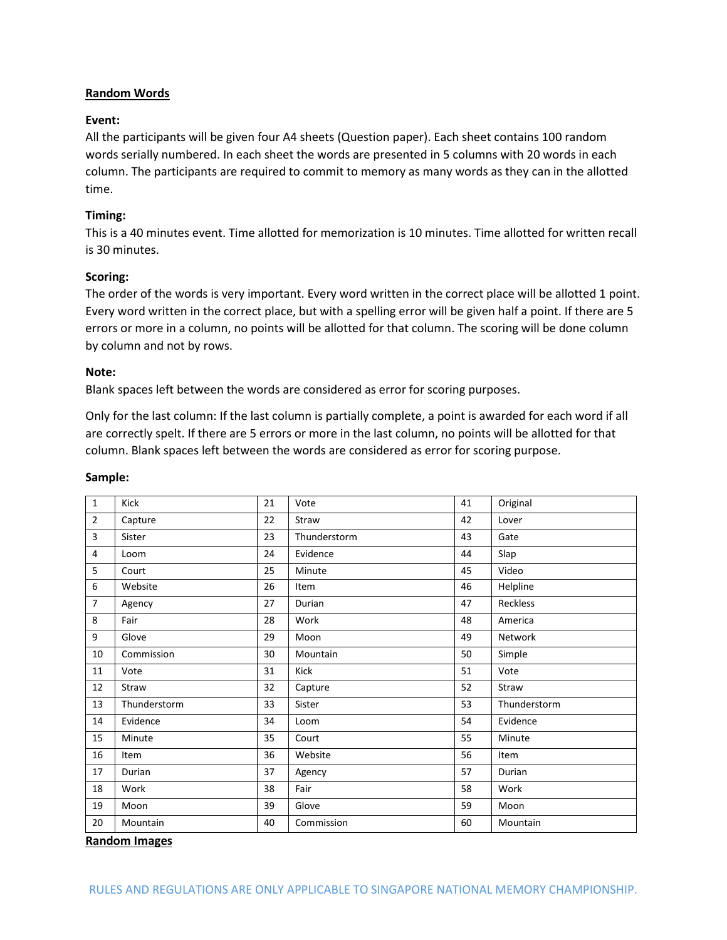# **Random Words**

## **Event:**

All the participants will be given four A4 sheets (Question paper). Each sheet contains 100 random words serially numbered. In each sheet the words are presented in 5 columns with 20 words in each column. The participants are required to commit to memory as many words as they can in the allotted time.

# **Timing:**

This is a 40 minutes event. Time allotted for memorization is 10 minutes. Time allotted for written recall is 30 minutes.

## **Scoring:**

The order of the words is very important. Every word written in the correct place will be allotted 1 point. Every word written in the correct place, but with a spelling error will be given half a point. If there are 5 errors or more in a column, no points will be allotted for that column. The scoring will be done column by column and not by rows.

## **Note:**

Blank spaces left between the words are considered as error for scoring purposes.

Only for the last column: If the last column is partially complete, a point is awarded for each word if all are correctly spelt. If there are 5 errors or more in the last column, no points will be allotted for that column. Blank spaces left between the words are considered as error for scoring purpose.

| $\mathbf{1}$   | Kick         | 21 | Vote         | 41 | Original     |  |  |  |  |
|----------------|--------------|----|--------------|----|--------------|--|--|--|--|
| $\overline{2}$ | Capture      | 22 | Straw        | 42 | Lover        |  |  |  |  |
| 3              | Sister       | 23 | Thunderstorm | 43 | Gate         |  |  |  |  |
| 4              | Loom         | 24 | Evidence     | 44 | Slap         |  |  |  |  |
| 5              | Court        | 25 | Minute       | 45 | Video        |  |  |  |  |
| 6              | Website      | 26 | Item         | 46 | Helpline     |  |  |  |  |
| $\overline{7}$ | Agency       | 27 | Durian       | 47 | Reckless     |  |  |  |  |
| 8              | Fair         | 28 | Work         | 48 | America      |  |  |  |  |
| 9              | Glove        | 29 | Moon         | 49 | Network      |  |  |  |  |
| 10             | Commission   | 30 | Mountain     | 50 | Simple       |  |  |  |  |
| 11             | Vote         | 31 | Kick         | 51 | Vote         |  |  |  |  |
| 12             | Straw        | 32 | Capture      | 52 | Straw        |  |  |  |  |
| 13             | Thunderstorm | 33 | Sister       | 53 | Thunderstorm |  |  |  |  |
| 14             | Evidence     | 34 | Loom         | 54 | Evidence     |  |  |  |  |
| 15             | Minute       | 35 | Court        | 55 | Minute       |  |  |  |  |
| 16             | Item         | 36 | Website      | 56 | Item         |  |  |  |  |
| 17             | Durian       | 37 | Agency       | 57 | Durian       |  |  |  |  |
| 18             | Work         | 38 | Fair         | 58 | Work         |  |  |  |  |
| 19             | Moon         | 39 | Glove        | 59 | Moon         |  |  |  |  |
| 20             | Mountain     | 40 | Commission   | 60 | Mountain     |  |  |  |  |

## **Sample:**

#### **Random Images**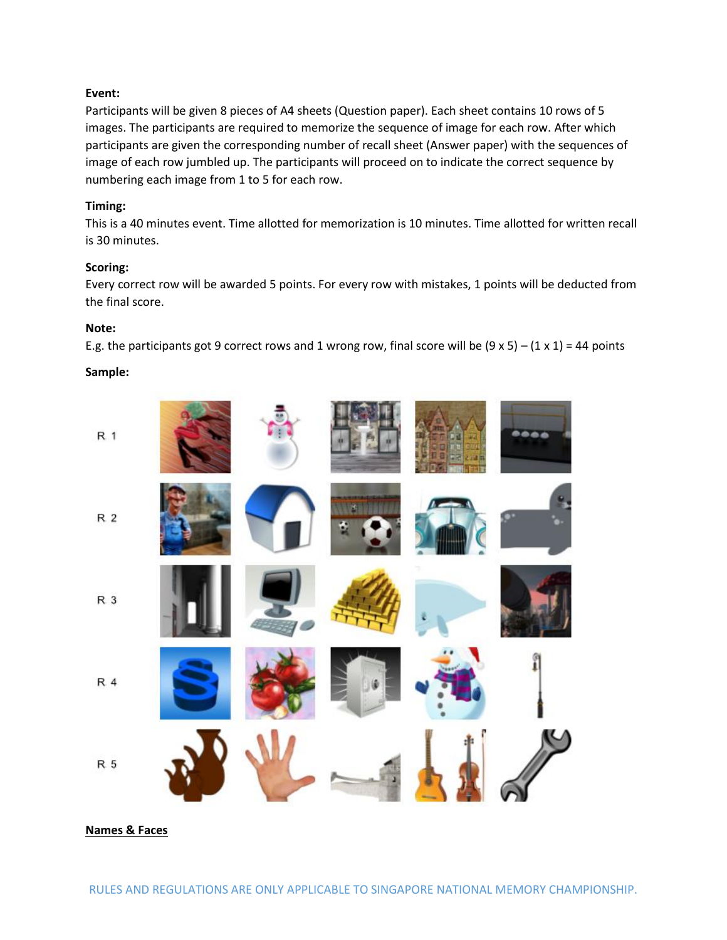# **Event:**

Participants will be given 8 pieces of A4 sheets (Question paper). Each sheet contains 10 rows of 5 images. The participants are required to memorize the sequence of image for each row. After which participants are given the corresponding number of recall sheet (Answer paper) with the sequences of image of each row jumbled up. The participants will proceed on to indicate the correct sequence by numbering each image from 1 to 5 for each row.

## **Timing:**

This is a 40 minutes event. Time allotted for memorization is 10 minutes. Time allotted for written recall is 30 minutes.

# **Scoring:**

Every correct row will be awarded 5 points. For every row with mistakes, 1 points will be deducted from the final score.

## **Note:**

E.g. the participants got 9 correct rows and 1 wrong row, final score will be  $(9 \times 5) - (1 \times 1) = 44$  points

## **Sample:**



**Names & Faces**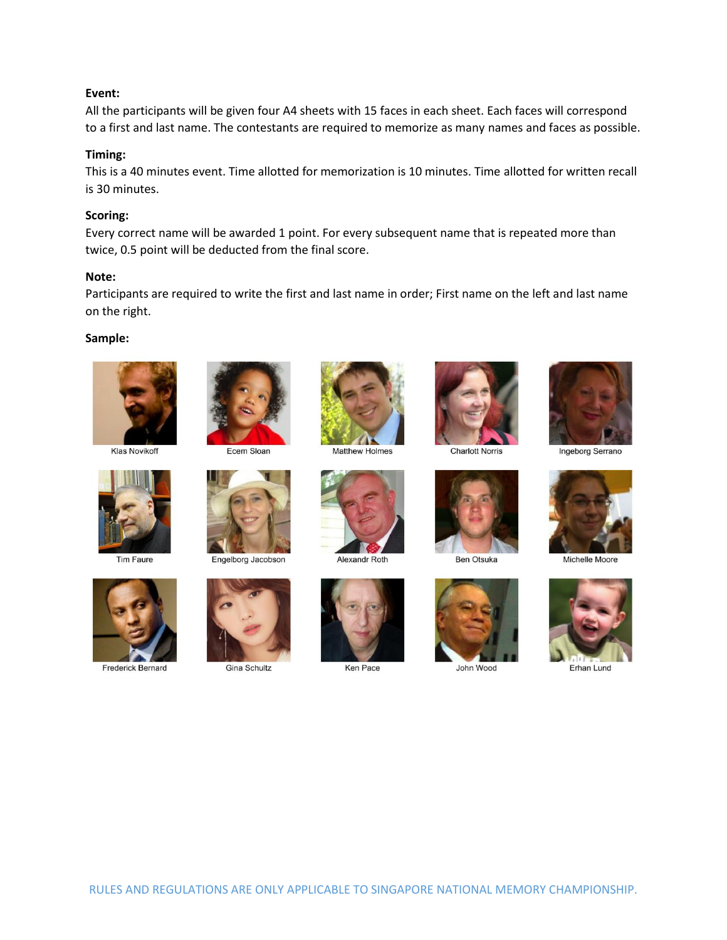## **Event:**

All the participants will be given four A4 sheets with 15 faces in each sheet. Each faces will correspond to a first and last name. The contestants are required to memorize as many names and faces as possible.

## **Timing:**

This is a 40 minutes event. Time allotted for memorization is 10 minutes. Time allotted for written recall is 30 minutes.

## **Scoring:**

Every correct name will be awarded 1 point. For every subsequent name that is repeated more than twice, 0.5 point will be deducted from the final score.

## **Note:**

Participants are required to write the first and last name in order; First name on the left and last name on the right.

## **Sample:**



**Klas Novikoff** 



**Tim Faure** 



**Frederick Bernard** 



Ecem Sloan



Engelborg Jacobson



**Gina Schultz** 



**Matthew Holmes** 



Alexandr Roth



Ken Pace



**Charlott Norris** 



**Ben Otsuka** 



John Wood



Ingeborg Serrano



Michelle Moore



Erhan Lund